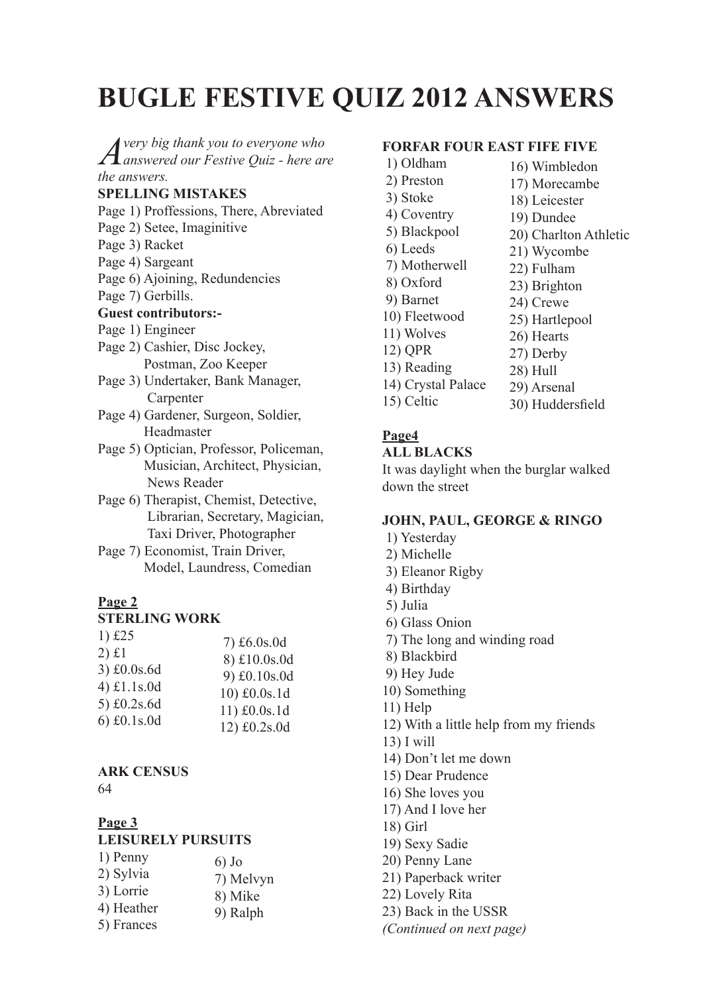# **BUGLE FESTIVE QUIZ 2012 ANSWERS**

*A very big thank you to everyone who answered our Festive Quiz - here are the answers.*

# **SPELLING MISTAKES**

- Page 1) Proffessions, There, Abreviated
- Page 2) Setee, Imaginitive
- Page 3) Racket
- Page 4) Sargeant
- Page 6) Ajoining, Redundencies
- Page 7) Gerbills.

## **Guest contributors:-**

- Page 1) Engineer
- Page 2) Cashier, Disc Jockey, Postman, Zoo Keeper
- Page 3) Undertaker, Bank Manager, Carpenter
- Page 4) Gardener, Surgeon, Soldier, Headmaster
- Page 5) Optician, Professor, Policeman, Musician, Architect, Physician, News Reader
- Page 6) Therapist, Chemist, Detective, Librarian, Secretary, Magician, Taxi Driver, Photographer
- Page 7) Economist, Train Driver, Model, Laundress, Comedian

# **Page 2**

#### **STERLING WORK**

| 1) $£25$                   | $7) \pounds 6.0$ s.0d        |
|----------------------------|------------------------------|
| $2)$ £1                    | 8) £10.0s.0d                 |
| 3) £0.0s.6d<br>4) £1.1s.0d | 9) £0.10s.0d                 |
| 5) £0.2s.6d                | 10) £0.0s.1d                 |
| $6)$ £0.1s.0d              | 11) £0.0s.1d<br>12) £0.2s.0d |
|                            |                              |

#### **ARK CENSUS** 64

# **Page 3 LEISURELY PURSUITS**

| 1) Penny   | $6)$ Jo   |
|------------|-----------|
| 2) Sylvia  | 7) Melvyn |
| 3) Lorrie  | 8) Mike   |
| 4) Heather | 9) Ralph  |
| 5) Frances |           |

## **FORFAR FOUR EAST FIFE FIVE**

- 1) Oldham
- 2) Preston
- 3) Stoke
- 4) Coventry
- 5) Blackpool
- 6) Leeds
- 7) Motherwell
- 8) Oxford
- 9) Barnet
- 10) Fleetwood
- 11) Wolves
- 12) QPR
- 13) Reading
- 14) Crystal Palace
- 15) Celtic

# **Page4**

## **ALL BLACKS**

It was daylight when the burglar walked down the street

# **JOHN, PAUL, GEORGE & RINGO**

- 1) Yesterday
- 2) Michelle
- 3) Eleanor Rigby
- 4) Birthday
- 5) Julia
- 6) Glass Onion
- 7) The long and winding road
- 8) Blackbird
- 9) Hey Jude
- 10) Something
- 11) Help
- 12) With a little help from my friends
- 13) I will
- 14) Don't let me down
- 15) Dear Prudence
- 16) She loves you
- 17) And I love her
- 18) Girl
- 19) Sexy Sadie
- 20) Penny Lane
- 21) Paperback writer
- 22) Lovely Rita
- 23) Back in the USSR
- *(Continued on next page)*

26) Hearts 27) Derby

16) Wimbledon 17) Morecambe 18) Leicester 19) Dundee

21) Wycombe 22) Fulham 23) Brighton 24) Crewe 25) Hartlepool

20) Charlton Athletic

- 
- 
- 
- 28) Hull 29) Arsenal
- 30) Huddersfield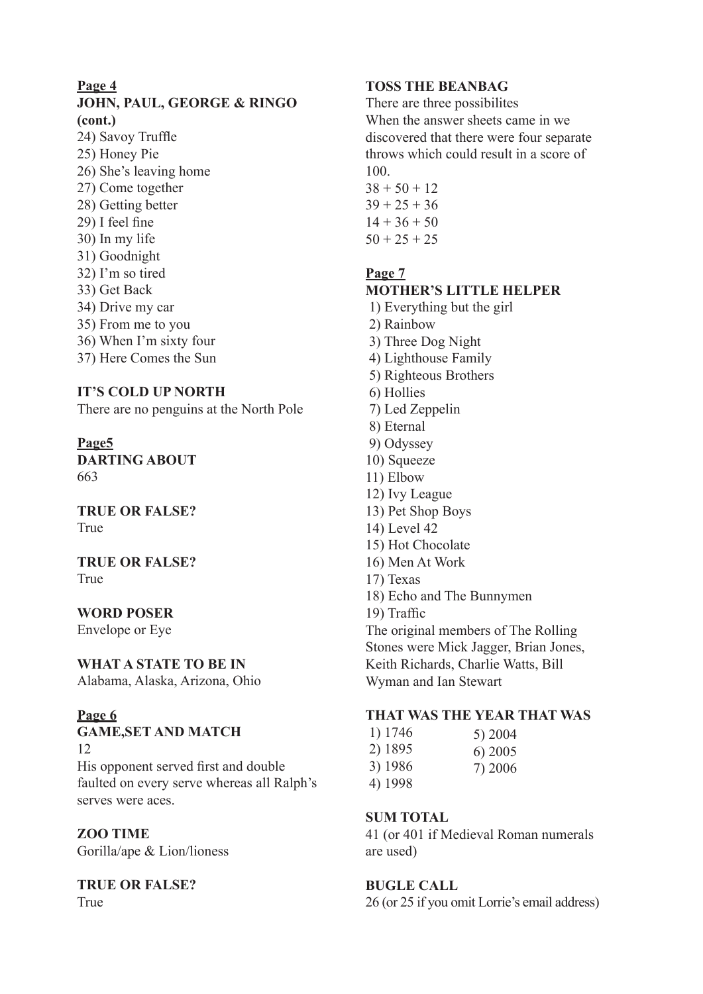# **Page 4**

# **JOHN, PAUL, GEORGE & RINGO (cont.)**

24) Savoy Truffle 25) Honey Pie 26) She's leaving home 27) Come together 28) Getting better 29) I feel fine 30) In my life 31) Goodnight 32) I'm so tired 33) Get Back 34) Drive my car 35) From me to you 36) When I'm sixty four 37) Here Comes the Sun

# **IT'S COLD UP NORTH**

There are no penguins at the North Pole

**Page5 DARTING ABOUT** 663

**TRUE OR FALSE?** True

**TRUE OR FALSE?** True

#### **WORD POSER**

Envelope or Eye

## **WHAT A STATE TO BE IN**

Alabama, Alaska, Arizona, Ohio

#### **Page 6**

**GAME,SET AND MATCH** 12 His opponent served first and double faulted on every serve whereas all Ralph's serves were aces.

## **ZOO TIME**

Gorilla/ape & Lion/lioness

#### **TRUE OR FALSE?** True

# **TOSS THE BEANBAG**

There are three possibilites When the answer sheets came in we discovered that there were four separate throws which could result in a score of 100.

 $38 + 50 + 12$  $39 + 25 + 36$  $14 + 36 + 50$  $50 + 25 + 25$ 

# **Page 7**

# **MOTHER'S LITTLE HELPER**

- 1) Everything but the girl 2) Rainbow
- 3) Three Dog Night 4) Lighthouse Family
- 5) Righteous Brothers
- 6) Hollies
- 7) Led Zeppelin
- 8) Eternal
- 9) Odyssey
- 10) Squeeze
- 11) Elbow
- 12) Ivy League
- 13) Pet Shop Boys
- 14) Level 42
- 15) Hot Chocolate
- 16) Men At Work
- 17) Texas
- 18) Echo and The Bunnymen
- 19) Traffic

The original members of The Rolling Stones were Mick Jagger, Brian Jones, Keith Richards, Charlie Watts, Bill Wyman and Ian Stewart

#### **THAT WAS THE YEAR THAT WAS**

| 1) 1746 | 5) 2004   |
|---------|-----------|
| 2) 1895 | $6)$ 2005 |
| 3) 1986 | 7) 2006   |
| 4) 1998 |           |

# **SUM TOTAL**

41 (or 401 if Medieval Roman numerals are used)

# **BUGLE CALL**

26 (or 25 if you omit Lorrie's email address)